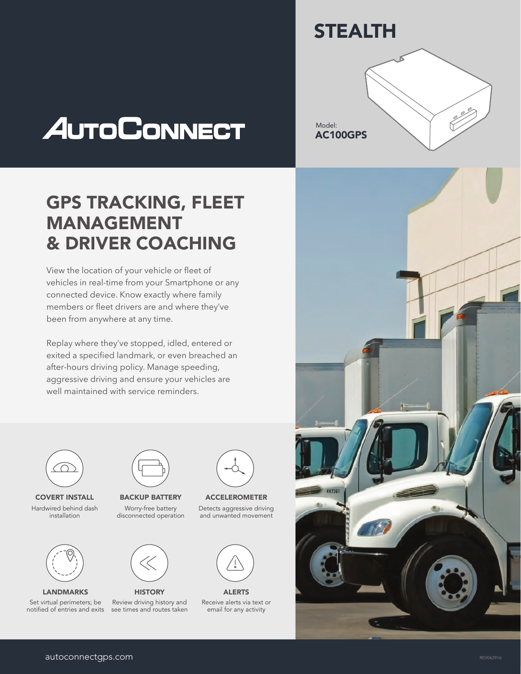



## GPS TRACKING, FLEET MANAGEMENT & DRIVER COACHING

View the location of your vehicle or fleet of vehicles in real-time from your Smartphone or any connected device. Know exactly where family members or fleet drivers are and where they've been from anywhere at any time.

Replay where they've stopped, idled, entered or exited a specified landmark, or even breached an after-hours driving policy. Manage speeding, aggressive driving and ensure your vehicles are well maintained with service reminders.



COVERT INSTALL Hardwired behind dash installation



LANDMARKS

Set virtual perimeters; be notified of entries and exits



BACKUP BATTERY Worry-free battery disconnected operation



Review driving history and see times and routes taken



ACCELEROMETER Detects aggressive driving and unwanted movement



Receive alerts via text or email for any activity